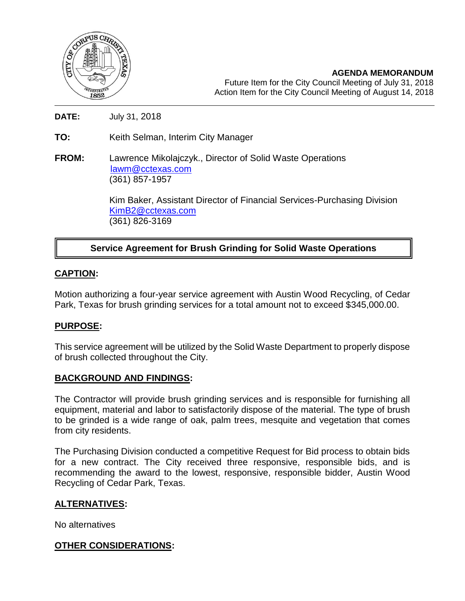

**AGENDA MEMORANDUM** Future Item for the City Council Meeting of July 31, 2018 Action Item for the City Council Meeting of August 14, 2018

**DATE:** July 31, 2018

**TO:** Keith Selman, Interim City Manager

**FROM:** Lawrence Mikolajczyk., Director of Solid Waste Operations [lawm@cctexas.com](mailto:lawm@cctexas.com) (361) 857-1957

> Kim Baker, Assistant Director of Financial Services-Purchasing Division [KimB2@cctexas.com](mailto:KimB2@cctexas.com) (361) 826-3169

# **Service Agreement for Brush Grinding for Solid Waste Operations**

# **CAPTION:**

Ī

Motion authorizing a four-year service agreement with Austin Wood Recycling, of Cedar Park, Texas for brush grinding services for a total amount not to exceed \$345,000.00.

### **PURPOSE:**

This service agreement will be utilized by the Solid Waste Department to properly dispose of brush collected throughout the City.

### **BACKGROUND AND FINDINGS:**

The Contractor will provide brush grinding services and is responsible for furnishing all equipment, material and labor to satisfactorily dispose of the material. The type of brush to be grinded is a wide range of oak, palm trees, mesquite and vegetation that comes from city residents.

The Purchasing Division conducted a competitive Request for Bid process to obtain bids for a new contract. The City received three responsive, responsible bids, and is recommending the award to the lowest, responsive, responsible bidder, Austin Wood Recycling of Cedar Park, Texas.

### **ALTERNATIVES:**

No alternatives

### **OTHER CONSIDERATIONS:**